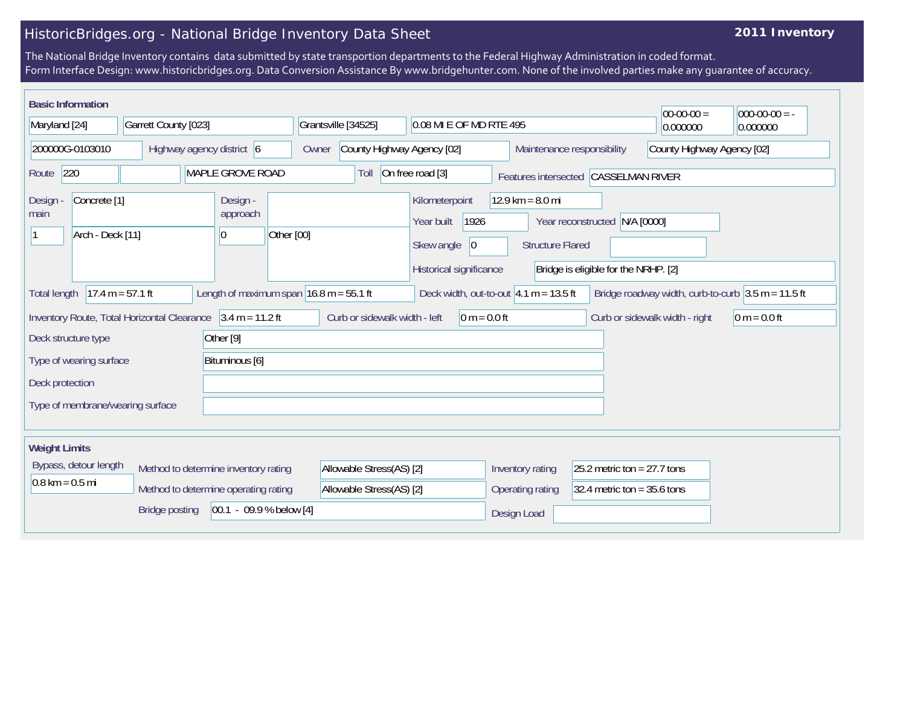## HistoricBridges.org - National Bridge Inventory Data Sheet

## **2011 Inventory**

The National Bridge Inventory contains data submitted by state transportion departments to the Federal Highway Administration in coded format. Form Interface Design: www.historicbridges.org. Data Conversion Assistance By www.bridgehunter.com. None of the involved parties make any guarantee of accuracy.

| <b>Basic Information</b>                                                                                                 |  |                           |                                                                                                                                               |                                                                  |                                     |  |                                            |                  |                                                                                                                        |                                |                            |  |  | $00-00-00 =$ | $000-00-00 = -$ |
|--------------------------------------------------------------------------------------------------------------------------|--|---------------------------|-----------------------------------------------------------------------------------------------------------------------------------------------|------------------------------------------------------------------|-------------------------------------|--|--------------------------------------------|------------------|------------------------------------------------------------------------------------------------------------------------|--------------------------------|----------------------------|--|--|--------------|-----------------|
| Maryland [24]                                                                                                            |  | Garrett County [023]      |                                                                                                                                               |                                                                  | Grantsville [34525]                 |  | 0.08 MI E OF MD RTE 495                    |                  |                                                                                                                        | 0.000000                       | 0.000000                   |  |  |              |                 |
| 200000G-0103010                                                                                                          |  | Highway agency district 6 |                                                                                                                                               |                                                                  | County Highway Agency [02]<br>Owner |  |                                            |                  | Maintenance responsibility                                                                                             |                                | County Highway Agency [02] |  |  |              |                 |
| 220<br>MAPLE GROVE ROAD<br>Route                                                                                         |  |                           |                                                                                                                                               | On free road [3]<br>Toll<br>Features intersected CASSELMAN RIVER |                                     |  |                                            |                  |                                                                                                                        |                                |                            |  |  |              |                 |
| Concrete <sup>[1]</sup><br>Design<br>main<br>Arch - Deck [11]                                                            |  |                           | Design -<br>approach<br>Other [00]<br>10                                                                                                      |                                                                  |                                     |  | Kilometerpoint<br>Year built<br>Skew angle | 1926<br> 0       | 12.9 km = $8.0$ mi<br>Year reconstructed N/A [0000]<br><b>Structure Flared</b><br>Bridge is eligible for the NRHP. [2] |                                |                            |  |  |              |                 |
| $17.4 m = 57.1 ft$<br>Length of maximum span $16.8$ m = 55.1 ft<br><b>Total length</b>                                   |  |                           | Historical significance<br>Deck width, out-to-out $ 4.1 \text{ m} = 13.5 \text{ ft} $<br>Bridge roadway width, curb-to-curb $3.5 m = 11.5 ft$ |                                                                  |                                     |  |                                            |                  |                                                                                                                        |                                |                            |  |  |              |                 |
| Inventory Route, Total Horizontal Clearance $\int 3.4 \text{ m} = 11.2 \text{ ft}$<br>Other $[9]$<br>Deck structure type |  |                           |                                                                                                                                               | Curb or sidewalk width - left<br>$0 m = 0.0 ft$                  |                                     |  |                                            |                  |                                                                                                                        | Curb or sidewalk width - right | $0 m = 0.0 ft$             |  |  |              |                 |
| Type of wearing surface<br>Bituminous [6]                                                                                |  |                           |                                                                                                                                               |                                                                  |                                     |  |                                            |                  |                                                                                                                        |                                |                            |  |  |              |                 |
| Deck protection                                                                                                          |  |                           |                                                                                                                                               |                                                                  |                                     |  |                                            |                  |                                                                                                                        |                                |                            |  |  |              |                 |
| Type of membrane/wearing surface                                                                                         |  |                           |                                                                                                                                               |                                                                  |                                     |  |                                            |                  |                                                                                                                        |                                |                            |  |  |              |                 |
| <b>Weight Limits</b>                                                                                                     |  |                           |                                                                                                                                               |                                                                  |                                     |  |                                            |                  |                                                                                                                        |                                |                            |  |  |              |                 |
| Bypass, detour length<br>Method to determine inventory rating                                                            |  |                           |                                                                                                                                               | Allowable Stress(AS) [2]                                         |                                     |  |                                            | Inventory rating | 25.2 metric ton = $27.7$ tons                                                                                          |                                |                            |  |  |              |                 |
| $0.8 \text{ km} = 0.5 \text{ mi}$<br>Method to determine operating rating                                                |  |                           |                                                                                                                                               | Allowable Stress(AS) [2]                                         |                                     |  |                                            | Operating rating | 32.4 metric ton = $35.6$ tons                                                                                          |                                |                            |  |  |              |                 |
|                                                                                                                          |  | <b>Bridge posting</b>     |                                                                                                                                               |                                                                  | $[00.1 - 09.9 % below [4]$          |  |                                            |                  |                                                                                                                        |                                | Design Load                |  |  |              |                 |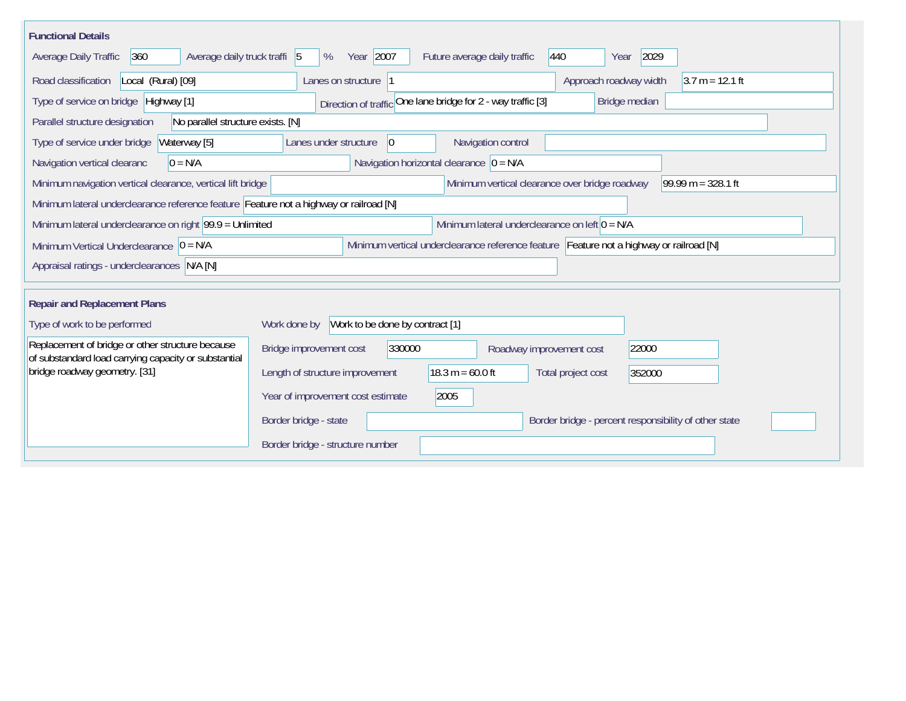| <b>Functional Details</b>                                                                                      |                                                                                         |  |  |  |  |  |
|----------------------------------------------------------------------------------------------------------------|-----------------------------------------------------------------------------------------|--|--|--|--|--|
| Average daily truck traffi 5<br>360<br>Average Daily Traffic                                                   | Year 2007<br>2029<br>440<br>Future average daily traffic<br>%<br>Year                   |  |  |  |  |  |
| Road classification<br>Local (Rural) [09]                                                                      | Approach roadway width<br>$3.7 m = 12.1 ft$<br>Lanes on structure 1                     |  |  |  |  |  |
| Type of service on bridge Highway [1]                                                                          | Direction of traffic One lane bridge for 2 - way traffic [3]<br>Bridge median           |  |  |  |  |  |
| No parallel structure exists. [N]<br>Parallel structure designation                                            |                                                                                         |  |  |  |  |  |
| Type of service under bridge<br>Waterway [5]                                                                   | Navigation control<br>$ 0\rangle$<br>Lanes under structure                              |  |  |  |  |  |
| $0 = N/A$<br>Navigation vertical clearanc                                                                      | Navigation horizontal clearance $ 0 = N/A$                                              |  |  |  |  |  |
| Minimum navigation vertical clearance, vertical lift bridge                                                    | 99.99 m = $328.1$ ft<br>Minimum vertical clearance over bridge roadway                  |  |  |  |  |  |
| Minimum lateral underclearance reference feature Feature not a highway or railroad [N]                         |                                                                                         |  |  |  |  |  |
| Minimum lateral underclearance on left $0 = N/A$<br>Minimum lateral underclearance on right $99.9 =$ Unlimited |                                                                                         |  |  |  |  |  |
| Minimum Vertical Underclearance $ 0 = N/A$                                                                     | Minimum vertical underclearance reference feature Feature not a highway or railroad [N] |  |  |  |  |  |
| Appraisal ratings - underclearances N/A [N]                                                                    |                                                                                         |  |  |  |  |  |
|                                                                                                                |                                                                                         |  |  |  |  |  |
| <b>Repair and Replacement Plans</b>                                                                            |                                                                                         |  |  |  |  |  |
| Type of work to be performed                                                                                   | Work to be done by contract [1]<br>Work done by                                         |  |  |  |  |  |
| Replacement of bridge or other structure because<br>of substandard load carrying capacity or substantial       | 330000<br>Bridge improvement cost<br>22000<br>Roadway improvement cost                  |  |  |  |  |  |
| bridge roadway geometry. [31]                                                                                  | $18.3 m = 60.0 ft$<br>Length of structure improvement<br>Total project cost<br>352000   |  |  |  |  |  |
|                                                                                                                | Year of improvement cost estimate<br>2005                                               |  |  |  |  |  |
|                                                                                                                | Border bridge - state<br>Border bridge - percent responsibility of other state          |  |  |  |  |  |
|                                                                                                                | Border bridge - structure number                                                        |  |  |  |  |  |